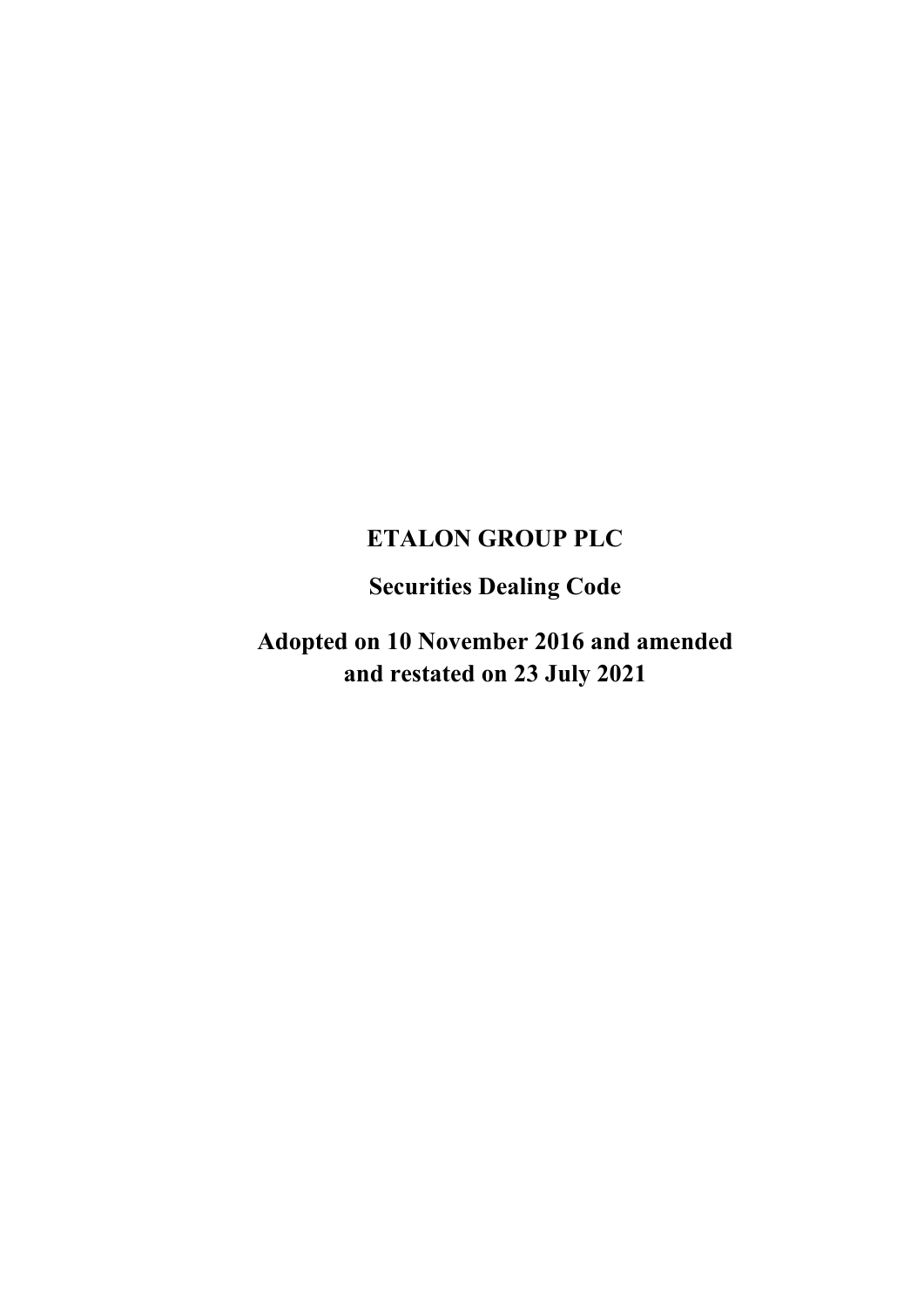# **ETALON GROUP PLC**

**Securities Dealing Code**

**Adopted on 10 November 2016 and amended and restated on 23 July 2021**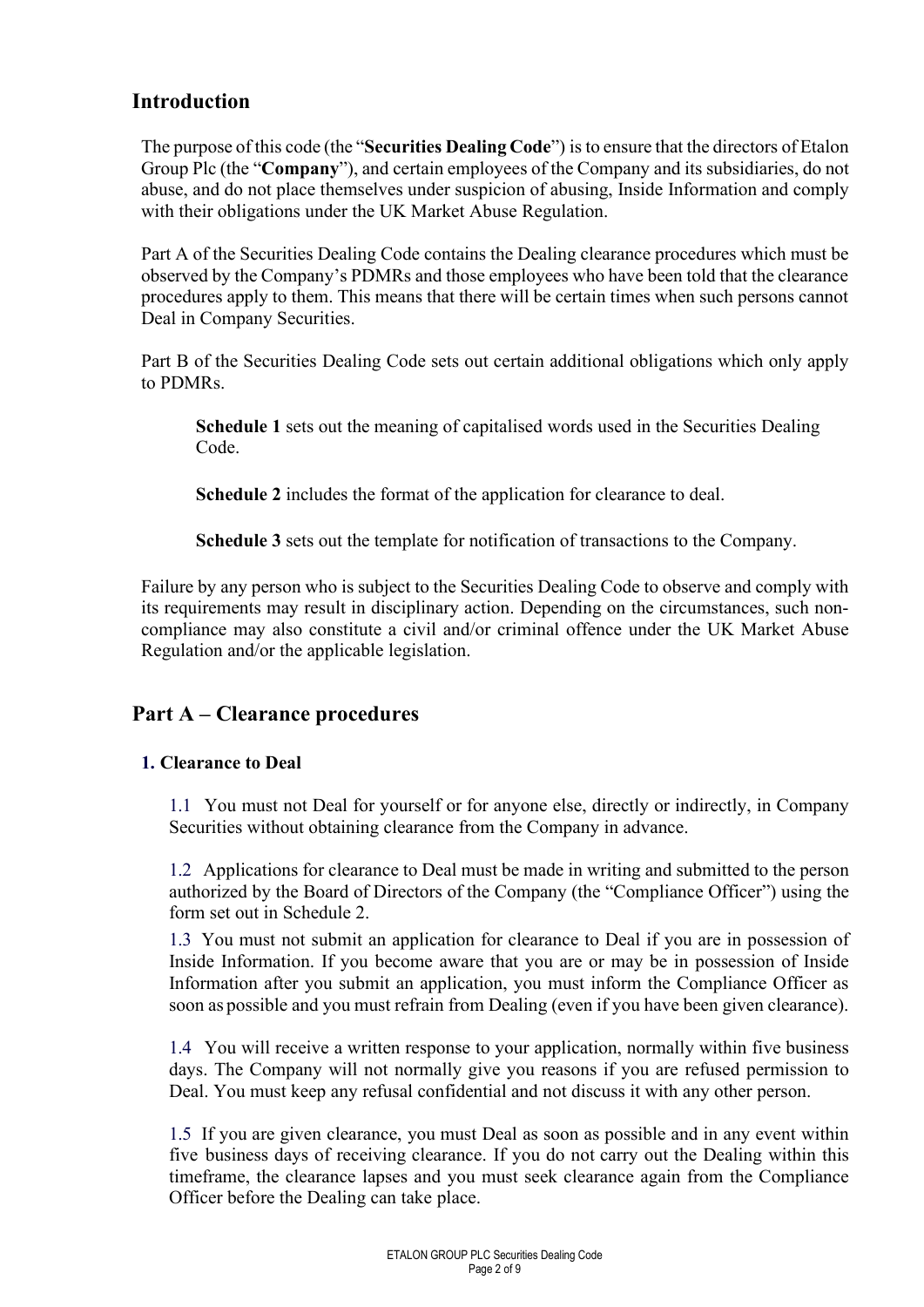### **Introduction**

The purpose of this code (the "**Securities Dealing Code**") is to ensure that the directors of Etalon Group Plc (the "**Company**"), and certain employees of the Company and its subsidiaries, do not abuse, and do not place themselves under suspicion of abusing, Inside Information and comply with their obligations under the UK Market Abuse Regulation.

Part A of the Securities Dealing Code contains the Dealing clearance procedures which must be observed by the Company's PDMRs and those employees who have been told that the clearance procedures apply to them. This means that there will be certain times when such persons cannot Deal in Company Securities.

Part B of the Securities Dealing Code sets out certain additional obligations which only apply to PDMRs.

**Schedule 1** sets out the meaning of capitalised words used in the Securities Dealing Code.

**Schedule 2** includes the format of the application for clearance to deal.

**Schedule 3** sets out the template for notification of transactions to the Company.

Failure by any person who is subject to the Securities Dealing Code to observe and comply with its requirements may result in disciplinary action. Depending on the circumstances, such noncompliance may also constitute a civil and/or criminal offence under the UK Market Abuse Regulation and/or the applicable legislation.

#### **Part A – Clearance procedures**

#### **1. Clearance to Deal**

1.1 You must not Deal for yourself or for anyone else, directly or indirectly, in Company Securities without obtaining clearance from the Company in advance.

1.2 Applications for clearance to Deal must be made in writing and submitted to the person authorized by the Board of Directors of the Company (the "Compliance Officer") using the form set out in Schedule 2.

1.3 You must not submit an application for clearance to Deal if you are in possession of Inside Information. If you become aware that you are or may be in possession of Inside Information after you submit an application, you must inform the Compliance Officer as soon as possible and you must refrain from Dealing (even if you have been given clearance).

1.4 You will receive a written response to your application, normally within five business days. The Company will not normally give you reasons if you are refused permission to Deal. You must keep any refusal confidential and not discuss it with any other person.

1.5 If you are given clearance, you must Deal as soon as possible and in any event within five business days of receiving clearance. If you do not carry out the Dealing within this timeframe, the clearance lapses and you must seek clearance again from the Compliance Officer before the Dealing can take place.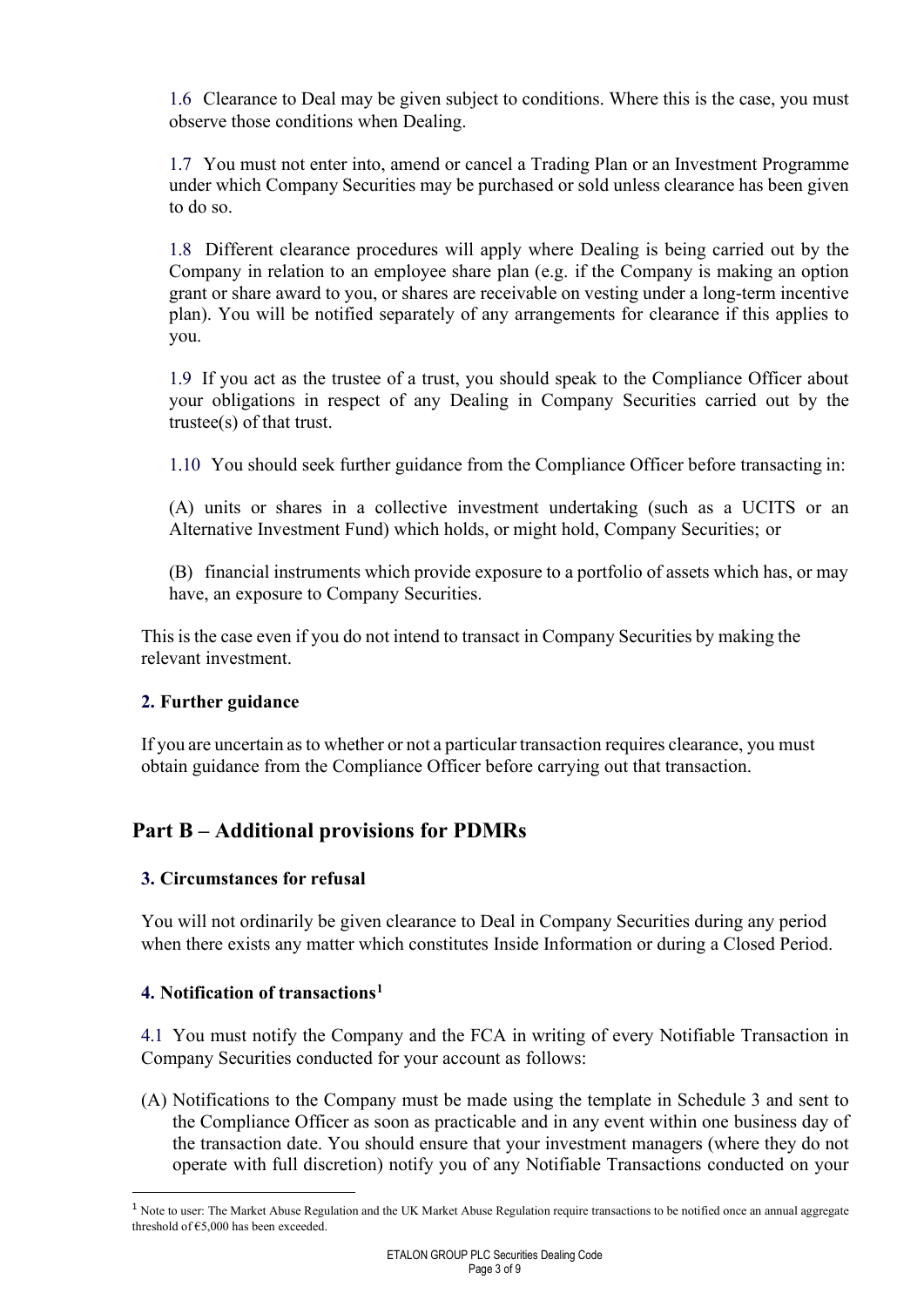1.6 Clearance to Deal may be given subject to conditions. Where this is the case, you must observe those conditions when Dealing.

1.7 You must not enter into, amend or cancel a Trading Plan or an Investment Programme under which Company Securities may be purchased or sold unless clearance has been given to do so.

1.8 Different clearance procedures will apply where Dealing is being carried out by the Company in relation to an employee share plan (e.g. if the Company is making an option grant or share award to you, or shares are receivable on vesting under a long-term incentive plan). You will be notified separately of any arrangements for clearance if this applies to you.

1.9 If you act as the trustee of a trust, you should speak to the Compliance Officer about your obligations in respect of any Dealing in Company Securities carried out by the trustee(s) of that trust.

1.10 You should seek further guidance from the Compliance Officer before transacting in:

(A) units or shares in a collective investment undertaking (such as a UCITS or an Alternative Investment Fund) which holds, or might hold, Company Securities; or

(B) financial instruments which provide exposure to a portfolio of assets which has, or may have, an exposure to Company Securities.

This is the case even if you do not intend to transact in Company Securities by making the relevant investment.

#### **2. Further guidance**

If you are uncertain asto whether or not a particular transaction requires clearance, you must obtain guidance from the Compliance Officer before carrying out that transaction.

### **Part B – Additional provisions for PDMRs**

#### **3. Circumstances for refusal**

You will not ordinarily be given clearance to Deal in Company Securities during any period when there exists any matter which constitutes Inside Information or during a Closed Period.

#### **4. Notification of transactions[1](#page-2-0)**

4.1 You must notify the Company and the FCA in writing of every Notifiable Transaction in Company Securities conducted for your account as follows:

(A) Notifications to the Company must be made using the template in Schedule 3 and sent to the Compliance Officer as soon as practicable and in any event within one business day of the transaction date. You should ensure that your investment managers (where they do not operate with full discretion) notify you of any Notifiable Transactions conducted on your

<span id="page-2-0"></span><sup>&</sup>lt;sup>1</sup> Note to user: The Market Abuse Regulation and the UK Market Abuse Regulation require transactions to be notified once an annual aggregate threshold of €5,000 has been exceeded.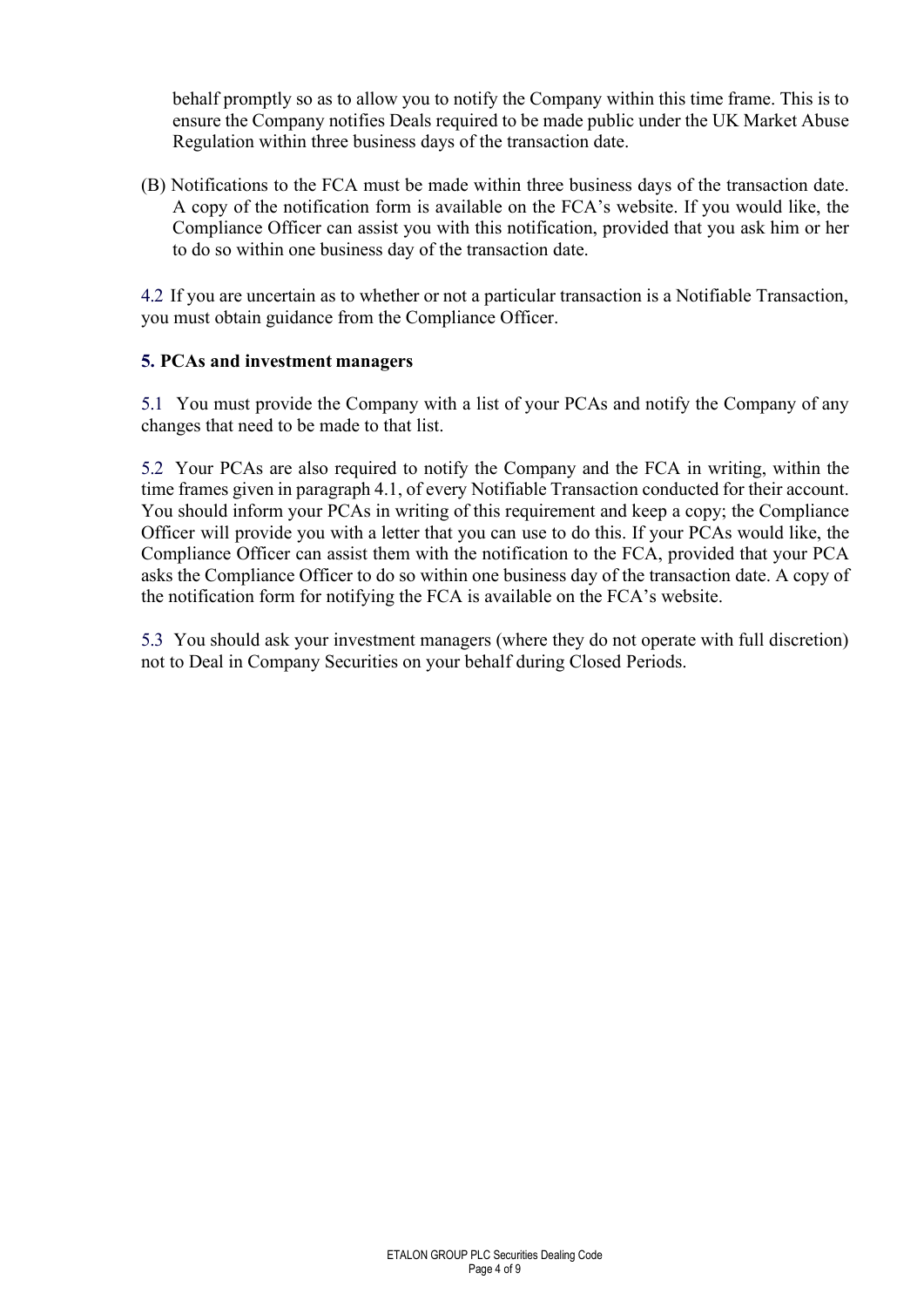behalf promptly so as to allow you to notify the Company within this time frame. This is to ensure the Company notifies Deals required to be made public under the UK Market Abuse Regulation within three business days of the transaction date.

(B) Notifications to the FCA must be made within three business days of the transaction date. A copy of the notification form is available on the FCA's website. If you would like, the Compliance Officer can assist you with this notification, provided that you ask him or her to do so within one business day of the transaction date.

4.2 If you are uncertain as to whether or not a particular transaction is a Notifiable Transaction, you must obtain guidance from the Compliance Officer.

#### **5. PCAs and investment managers**

5.1 You must provide the Company with a list of your PCAs and notify the Company of any changes that need to be made to that list.

5.2 Your PCAs are also required to notify the Company and the FCA in writing, within the time frames given in paragraph 4.1, of every Notifiable Transaction conducted for their account. You should inform your PCAs in writing of this requirement and keep a copy; the Compliance Officer will provide you with a letter that you can use to do this. If your PCAs would like, the Compliance Officer can assist them with the notification to the FCA, provided that your PCA asks the Compliance Officer to do so within one business day of the transaction date. A copy of the notification form for notifying the FCA is available on the FCA's website.

5.3 You should ask your investment managers (where they do not operate with full discretion) not to Deal in Company Securities on your behalf during Closed Periods.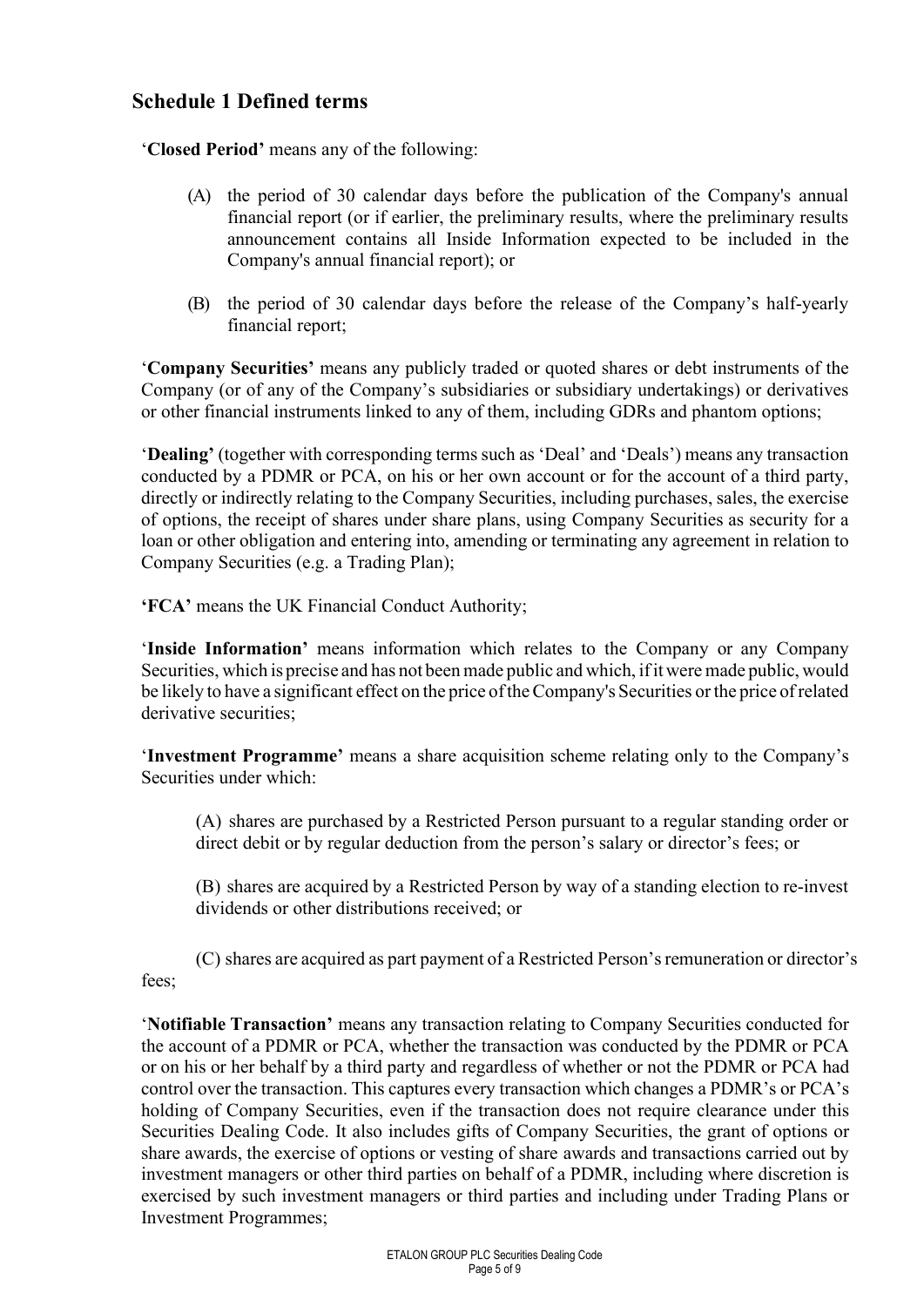### **Schedule 1 Defined terms**

'**Closed Period'** means any of the following:

- (A) the period of 30 calendar days before the publication of the Company's annual financial report (or if earlier, the preliminary results, where the preliminary results announcement contains all Inside Information expected to be included in the Company's annual financial report); or
- (B) the period of 30 calendar days before the release of the Company's half-yearly financial report;

'**Company Securities'** means any publicly traded or quoted shares or debt instruments of the Company (or of any of the Company's subsidiaries or subsidiary undertakings) or derivatives or other financial instruments linked to any of them, including GDRs and phantom options;

'**Dealing'** (together with corresponding terms such as 'Deal' and 'Deals') means any transaction conducted by a PDMR or PCA, on his or her own account or for the account of a third party, directly or indirectly relating to the Company Securities, including purchases, sales, the exercise of options, the receipt of shares under share plans, using Company Securities as security for a loan or other obligation and entering into, amending or terminating any agreement in relation to Company Securities (e.g. a Trading Plan);

**'FCA'** means the UK Financial Conduct Authority;

'**Inside Information'** means information which relates to the Company or any Company Securities, which is precise and has not been made public and which, if it were made public, would be likely to have a significant effect on the price oftheCompany's Securities or the price ofrelated derivative securities;

'**Investment Programme'** means a share acquisition scheme relating only to the Company's Securities under which:

(A) shares are purchased by a Restricted Person pursuant to a regular standing order or direct debit or by regular deduction from the person's salary or director's fees; or

(B) shares are acquired by a Restricted Person by way of a standing election to re-invest dividends or other distributions received; or

(C) shares are acquired as part payment of a Restricted Person'sremuneration or director's fees;

'**Notifiable Transaction'** means any transaction relating to Company Securities conducted for the account of a PDMR or PCA, whether the transaction was conducted by the PDMR or PCA or on his or her behalf by a third party and regardless of whether or not the PDMR or PCA had control over the transaction. This captures every transaction which changes a PDMR's or PCA's holding of Company Securities, even if the transaction does not require clearance under this Securities Dealing Code. It also includes gifts of Company Securities, the grant of options or share awards, the exercise of options or vesting of share awards and transactions carried out by investment managers or other third parties on behalf of a PDMR, including where discretion is exercised by such investment managers or third parties and including under Trading Plans or Investment Programmes;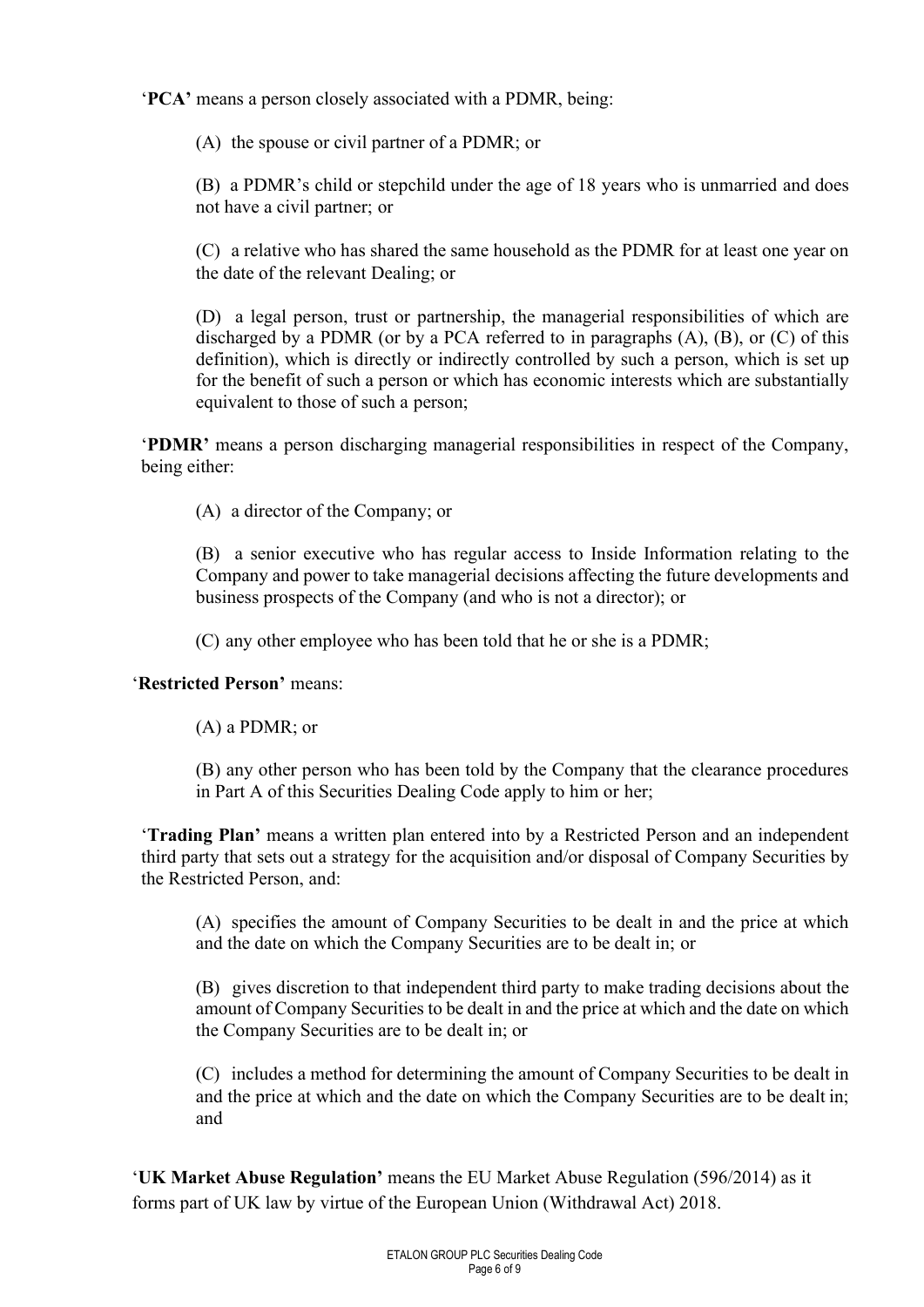'**PCA'** means a person closely associated with a PDMR, being:

(A) the spouse or civil partner of a PDMR; or

(B) a PDMR's child or stepchild under the age of 18 years who is unmarried and does not have a civil partner; or

(C) a relative who has shared the same household as the PDMR for at least one year on the date of the relevant Dealing; or

(D) a legal person, trust or partnership, the managerial responsibilities of which are discharged by a PDMR (or by a PCA referred to in paragraphs (A), (B), or (C) of this definition), which is directly or indirectly controlled by such a person, which is set up for the benefit of such a person or which has economic interests which are substantially equivalent to those of such a person;

'**PDMR'** means a person discharging managerial responsibilities in respect of the Company, being either:

(A) a director of the Company; or

(B) a senior executive who has regular access to Inside Information relating to the Company and power to take managerial decisions affecting the future developments and business prospects of the Company (and who is not a director); or

(C) any other employee who has been told that he or she is a PDMR;

'**Restricted Person'** means:

(A) a PDMR; or

(B) any other person who has been told by the Company that the clearance procedures in Part A of this Securities Dealing Code apply to him or her;

'**Trading Plan'** means a written plan entered into by a Restricted Person and an independent third party that sets out a strategy for the acquisition and/or disposal of Company Securities by the Restricted Person, and:

(A) specifies the amount of Company Securities to be dealt in and the price at which and the date on which the Company Securities are to be dealt in; or

(B) gives discretion to that independent third party to make trading decisions about the amount of Company Securities to be dealt in and the price at which and the date on which the Company Securities are to be dealt in; or

(C) includes a method for determining the amount of Company Securities to be dealt in and the price at which and the date on which the Company Securities are to be dealt in; and

'**UK Market Abuse Regulation'** means the EU Market Abuse Regulation (596/2014) as it forms part of UK law by virtue of the European Union (Withdrawal Act) 2018.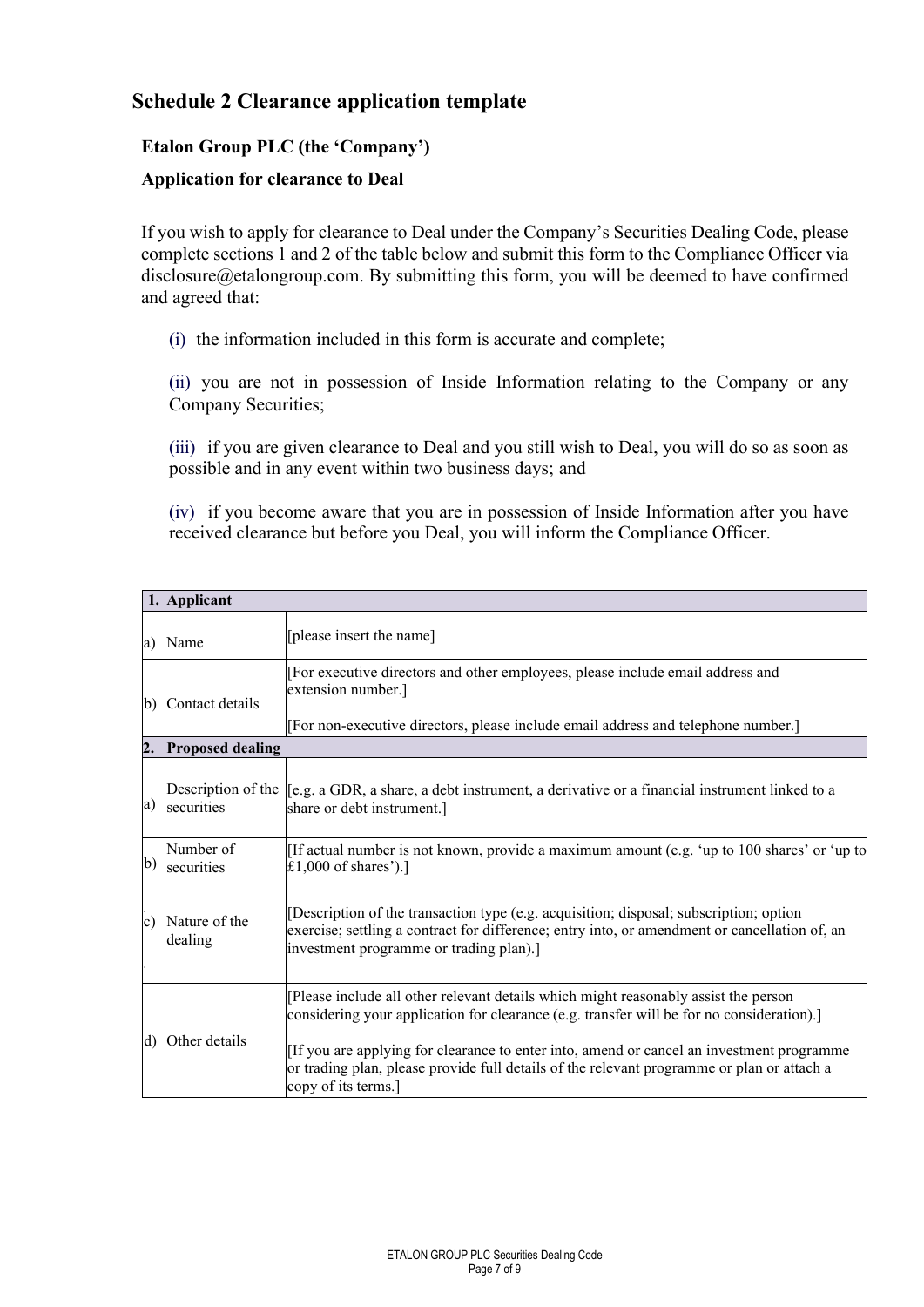### **Schedule 2 Clearance application template**

#### **Etalon Group PLC (the 'Company')**

#### **Application for clearance to Deal**

If you wish to apply for clearance to Deal under the Company's Securities Dealing Code, please complete sections 1 and 2 of the table below and submit this form to the Compliance Officer via disclosure@etalongroup.com. By submitting this form, you will be deemed to have confirmed and agreed that:

(i) the information included in this form is accurate and complete;

(ii) you are not in possession of Inside Information relating to the Company or any Company Securities;

(iii) if you are given clearance to Deal and you still wish to Deal, you will do so as soon as possible and in any event within two business days; and

(iv) if you become aware that you are in possession of Inside Information after you have received clearance but before you Deal, you will inform the Compliance Officer.

|                  | 1. Applicant             |                                                                                                                                                                                                                                                                                                                                                                                                   |  |  |
|------------------|--------------------------|---------------------------------------------------------------------------------------------------------------------------------------------------------------------------------------------------------------------------------------------------------------------------------------------------------------------------------------------------------------------------------------------------|--|--|
| a)               | Name                     | [please insert the name]                                                                                                                                                                                                                                                                                                                                                                          |  |  |
| $\mathbf{b}$     | Contact details          | [For executive directors and other employees, please include email address and<br>extension number.]<br>[For non-executive directors, please include email address and telephone number.]                                                                                                                                                                                                         |  |  |
| $\overline{2}$ . | <b>Proposed dealing</b>  |                                                                                                                                                                                                                                                                                                                                                                                                   |  |  |
| a)               | securities               | Description of the $\parallel$ e.g. a GDR, a share, a debt instrument, a derivative or a financial instrument linked to a<br>share or debt instrument.]                                                                                                                                                                                                                                           |  |  |
| $\mathbf{b}$     | Number of<br>securities  | [If actual number is not known, provide a maximum amount (e.g. 'up to 100 shares' or 'up to<br>£1,000 of shares').]                                                                                                                                                                                                                                                                               |  |  |
| c)               | Nature of the<br>dealing | [Description of the transaction type (e.g. acquisition; disposal; subscription; option<br>exercise; settling a contract for difference; entry into, or amendment or cancellation of, an<br>investment programme or trading plan).]                                                                                                                                                                |  |  |
| $\mathbf{d}$     | Other details            | [Please include all other relevant details which might reasonably assist the person<br>considering your application for clearance (e.g. transfer will be for no consideration).]<br>If you are applying for clearance to enter into, amend or cancel an investment programme<br>or trading plan, please provide full details of the relevant programme or plan or attach a<br>copy of its terms.] |  |  |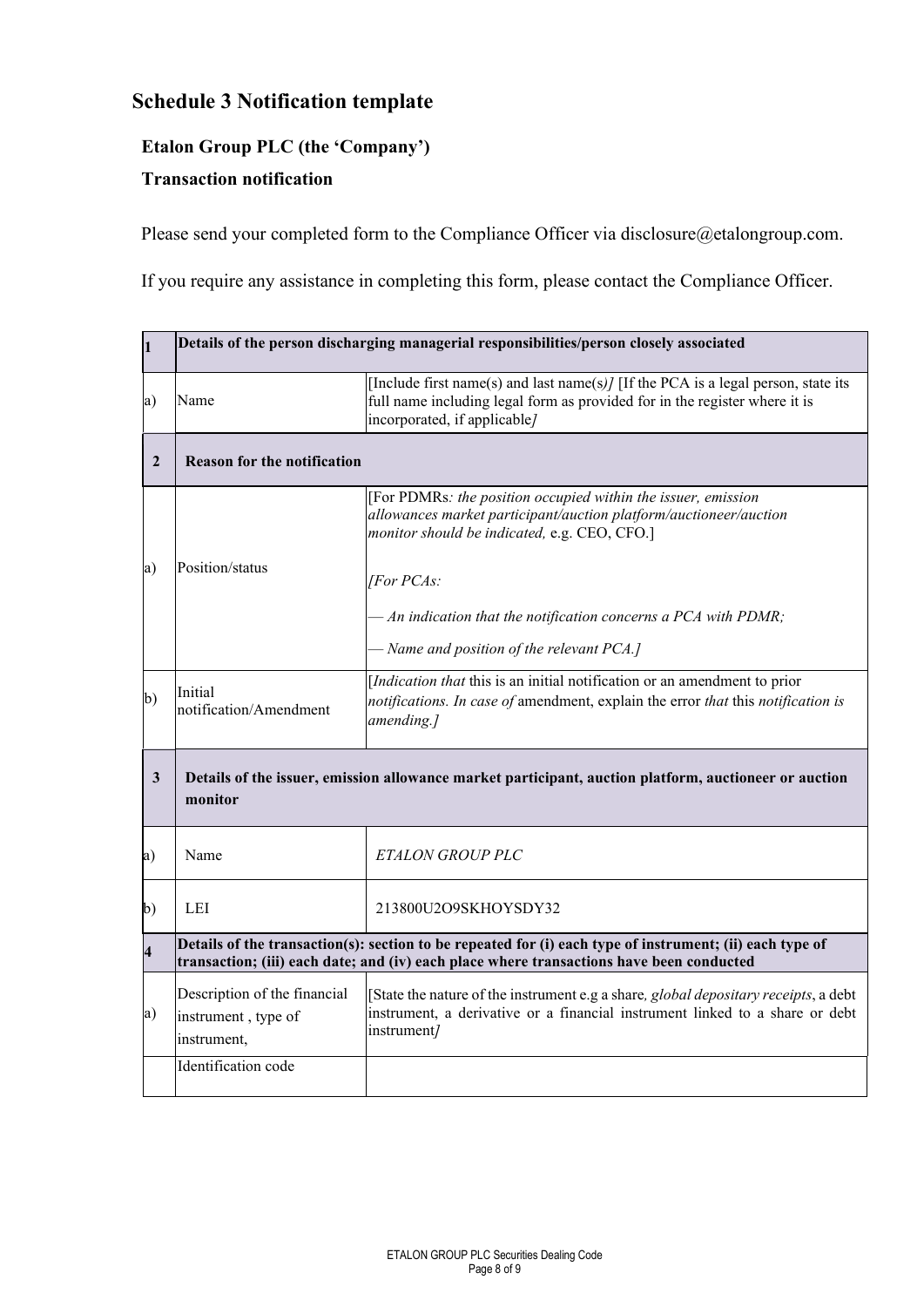## **Schedule 3 Notification template**

#### **Etalon Group PLC (the 'Company')**

#### **Transaction notification**

Please send your completed form to the Compliance Officer via disclosure@etalongroup.com.

If you require any assistance in completing this form, please contact the Compliance Officer.

| $\mathbf{1}$            | Details of the person discharging managerial responsibilities/person closely associated                                                                                                              |                                                                                                                                                                                                 |  |
|-------------------------|------------------------------------------------------------------------------------------------------------------------------------------------------------------------------------------------------|-------------------------------------------------------------------------------------------------------------------------------------------------------------------------------------------------|--|
| a)                      | Name                                                                                                                                                                                                 | [Include first name(s) and last name(s)] [If the PCA is a legal person, state its<br>full name including legal form as provided for in the register where it is<br>incorporated, if applicable/ |  |
| $\overline{2}$          | <b>Reason for the notification</b>                                                                                                                                                                   |                                                                                                                                                                                                 |  |
|                         |                                                                                                                                                                                                      | [For PDMRs: the position occupied within the issuer, emission<br>allowances market participant/auction platform/auctioneer/auction<br>monitor should be indicated, e.g. CEO, CFO.]              |  |
| a)                      | Position/status                                                                                                                                                                                      | [For PCAs:                                                                                                                                                                                      |  |
|                         |                                                                                                                                                                                                      | $-An$ indication that the notification concerns a PCA with PDMR;                                                                                                                                |  |
|                         |                                                                                                                                                                                                      | - Name and position of the relevant PCA.]                                                                                                                                                       |  |
| $\mathbf{b}$            | Initial<br>notification/Amendment                                                                                                                                                                    | [Indication that this is an initial notification or an amendment to prior<br>notifications. In case of amendment, explain the error that this notification is<br>amending.]                     |  |
| $\mathbf{3}$            | Details of the issuer, emission allowance market participant, auction platform, auctioneer or auction<br>monitor                                                                                     |                                                                                                                                                                                                 |  |
| a)                      | Name                                                                                                                                                                                                 | <b>ETALON GROUP PLC</b>                                                                                                                                                                         |  |
| $\mathbf{b}$            | LEI                                                                                                                                                                                                  | 213800U2O9SKHOYSDY32                                                                                                                                                                            |  |
| $\overline{\mathbf{4}}$ | Details of the transaction(s): section to be repeated for (i) each type of instrument; (ii) each type of<br>transaction; (iii) each date; and (iv) each place where transactions have been conducted |                                                                                                                                                                                                 |  |
| a)                      | Description of the financial<br>instrument, type of<br>instrument,                                                                                                                                   | [State the nature of the instrument e.g a share, global depositary receipts, a debt<br>instrument, a derivative or a financial instrument linked to a share or debt<br>instrument/              |  |
|                         | Identification code                                                                                                                                                                                  |                                                                                                                                                                                                 |  |